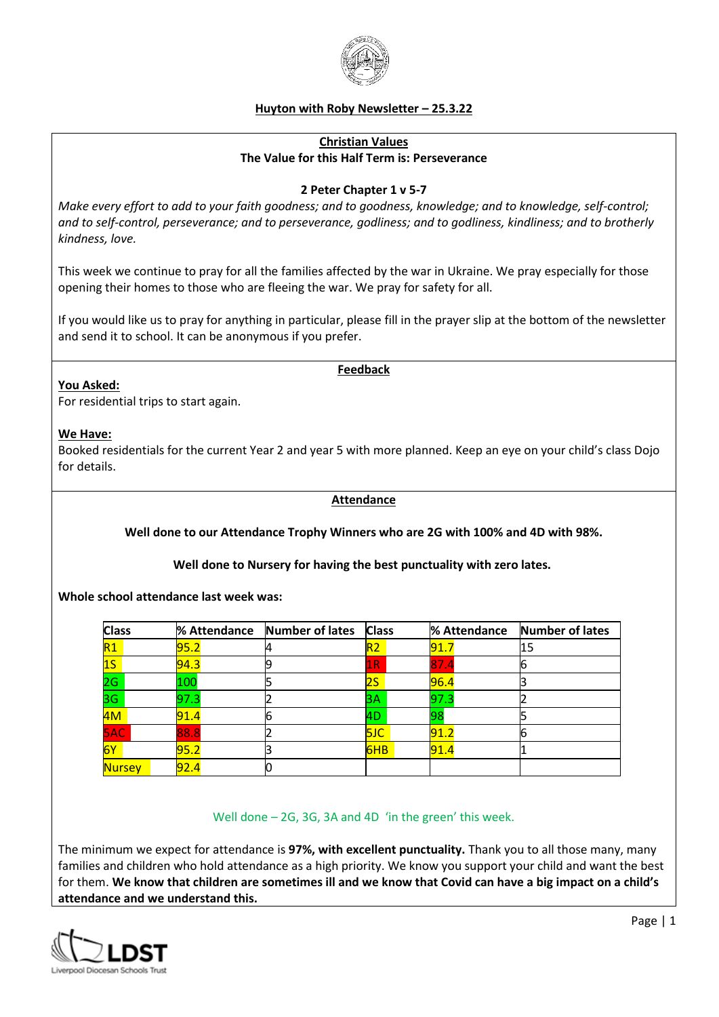

# **Huyton with Roby Newsletter – 25.3.22**

# **Christian Values The Value for this Half Term is: Perseverance**

#### **2 Peter Chapter 1 v 5-7**

*Make every effort to add to your faith goodness; and to goodness, knowledge; and to knowledge, self-control; and to self-control, perseverance; and to perseverance, godliness; and to godliness, kindliness; and to brotherly kindness, love.* 

This week we continue to pray for all the families affected by the war in Ukraine. We pray especially for those opening their homes to those who are fleeing the war. We pray for safety for all.

If you would like us to pray for anything in particular, please fill in the prayer slip at the bottom of the newsletter and send it to school. It can be anonymous if you prefer.

#### **Feedback**

#### **You Asked:**

For residential trips to start again.

#### **We Have:**

Booked residentials for the current Year 2 and year 5 with more planned. Keep an eye on your child's class Dojo for details.

#### **Attendance**

**Well done to our Attendance Trophy Winners who are 2G with 100% and 4D with 98%.**

**Well done to Nursery for having the best punctuality with zero lates.**

**Whole school attendance last week was:** 

| <b>Class</b>  |      | % Attendance Number of lates | <b>Class</b>   | % Attendance | Number of lates |
|---------------|------|------------------------------|----------------|--------------|-----------------|
| R1            | 95.2 |                              | R <sub>2</sub> | 91.7         | 15              |
| 1S            | 94.3 |                              | 1R             | 87.          |                 |
| 2G            | 100  |                              | $2\mathsf{S}$  | 96.4         |                 |
| 3G            | 97.3 |                              | 3A             | 97.3         |                 |
| 4M            | 91.4 |                              | 4D             | 98           |                 |
| <b>SAC</b>    | 88.8 |                              | <b>5JC</b>     | l91.2        |                 |
| 6Y            | 95.2 |                              | 6HB            | 91.4         |                 |
| <b>Nursey</b> | 92.4 |                              |                |              |                 |

### Well done – 2G, 3G, 3A and 4D 'in the green' this week.

The minimum we expect for attendance is **97%, with excellent punctuality.** Thank you to all those many, many families and children who hold attendance as a high priority. We know you support your child and want the best for them. **We know that children are sometimes ill and we know that Covid can have a big impact on a child's attendance and we understand this.**

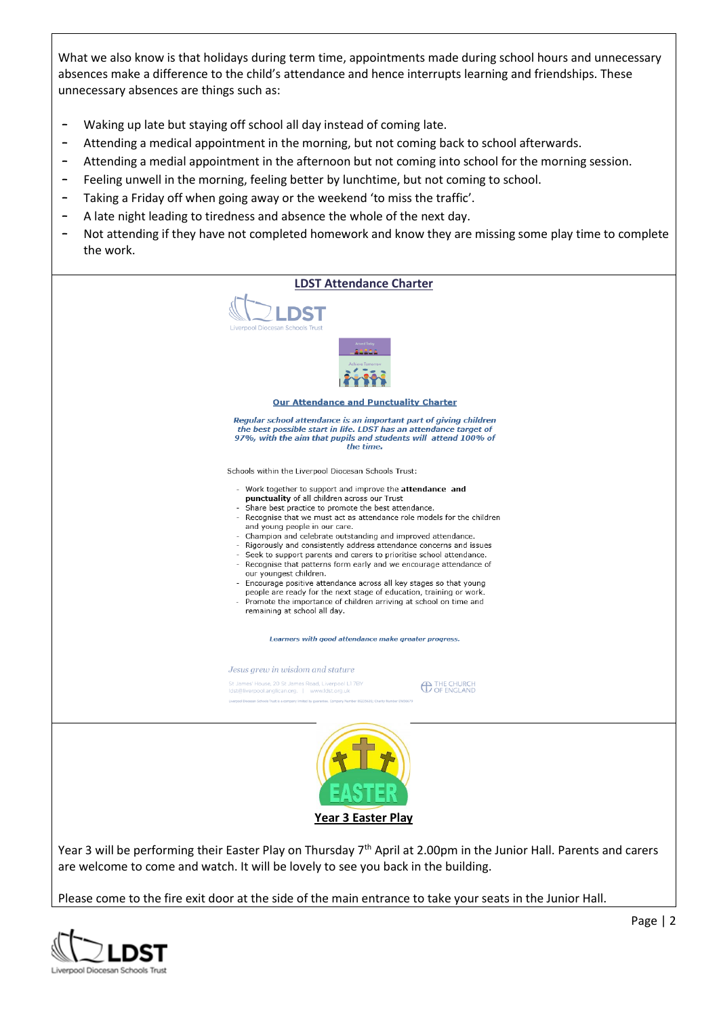What we also know is that holidays during term time, appointments made during school hours and unnecessary absences make a difference to the child's attendance and hence interrupts learning and friendships. These unnecessary absences are things such as:

- Waking up late but staying off school all day instead of coming late.
- Attending a medical appointment in the morning, but not coming back to school afterwards.
- Attending a medial appointment in the afternoon but not coming into school for the morning session.
- Feeling unwell in the morning, feeling better by lunchtime, but not coming to school.
- Taking a Friday off when going away or the weekend 'to miss the traffic'.
- A late night leading to tiredness and absence the whole of the next day.
- Not attending if they have not completed homework and know they are missing some play time to complete the work.



Please come to the fire exit door at the side of the main entrance to take your seats in the Junior Hall.

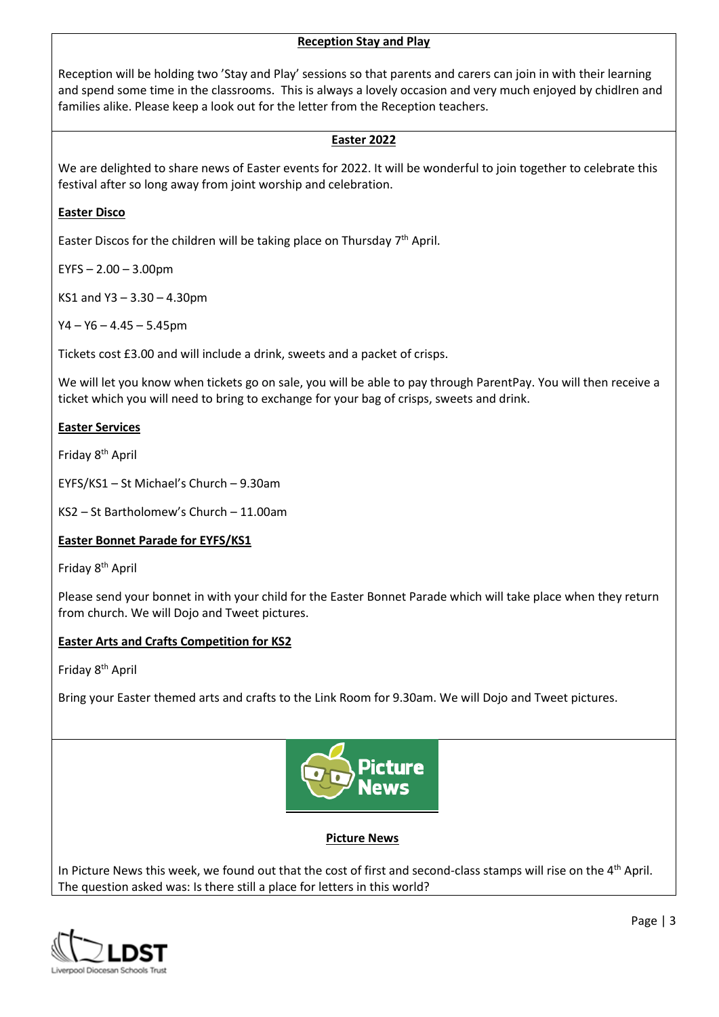### **Reception Stay and Play**

Reception will be holding two 'Stay and Play' sessions so that parents and carers can join in with their learning and spend some time in the classrooms. This is always a lovely occasion and very much enjoyed by chidlren and families alike. Please keep a look out for the letter from the Reception teachers.

# **Easter 2022**

We are delighted to share news of Easter events for 2022. It will be wonderful to join together to celebrate this festival after so long away from joint worship and celebration.

# **Easter Disco**

Easter Discos for the children will be taking place on Thursday  $7<sup>th</sup>$  April.

 $EYFS - 2.00 - 3.00$ pm

KS1 and Y3 – 3.30 – 4.30pm

 $Y4 - Y6 - 4.45 - 5.45$ pm

Tickets cost £3.00 and will include a drink, sweets and a packet of crisps.

We will let you know when tickets go on sale, you will be able to pay through ParentPay. You will then receive a ticket which you will need to bring to exchange for your bag of crisps, sweets and drink.

### **Easter Services**

Friday 8th April

EYFS/KS1 – St Michael's Church – 9.30am

KS2 – St Bartholomew's Church – 11.00am

# **Easter Bonnet Parade for EYFS/KS1**

Friday 8<sup>th</sup> April

Please send your bonnet in with your child for the Easter Bonnet Parade which will take place when they return from church. We will Dojo and Tweet pictures.

# **Easter Arts and Crafts Competition for KS2**

Friday 8th April

Bring your Easter themed arts and crafts to the Link Room for 9.30am. We will Dojo and Tweet pictures.



# **Picture News**

In Picture News this week, we found out that the cost of first and second-class stamps will rise on the  $4<sup>th</sup>$  April. The question asked was: Is there still a place for letters in this world?

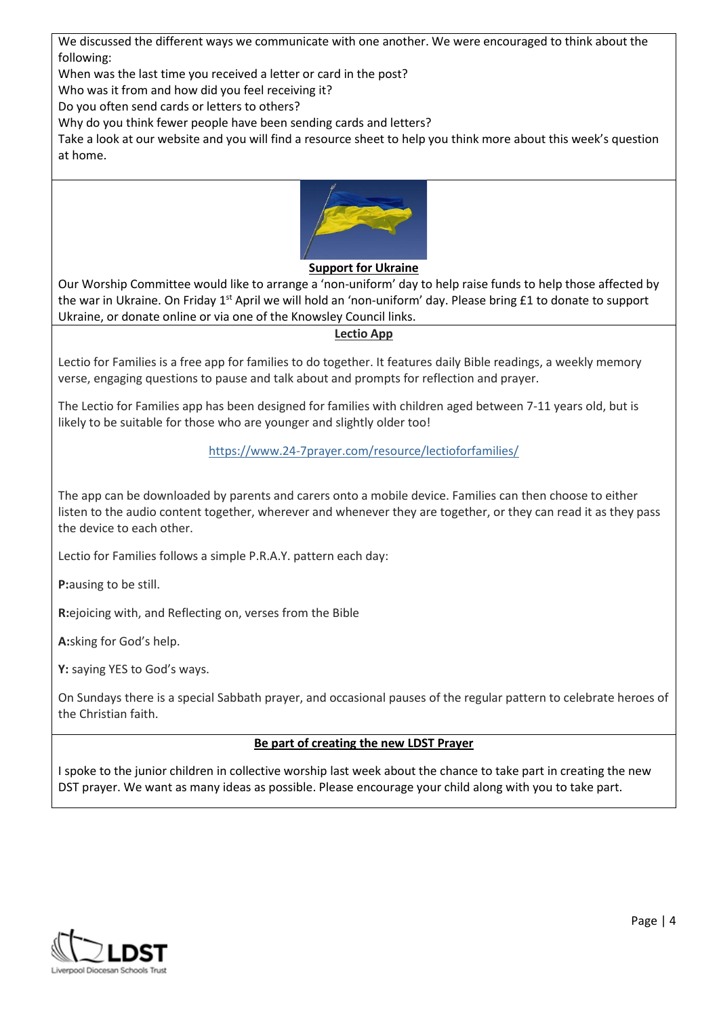We discussed the different ways we communicate with one another. We were encouraged to think about the following:

When was the last time you received a letter or card in the post?

Who was it from and how did you feel receiving it?

Do you often send cards or letters to others?

Why do you think fewer people have been sending cards and letters?

Take a look at our website and you will find a resource sheet to help you think more about this week's question at home.



### **Support for Ukraine**

Our Worship Committee would like to arrange a 'non-uniform' day to help raise funds to help those affected by the war in Ukraine. On Friday 1<sup>st</sup> April we will hold an 'non-uniform' day. Please bring £1 to donate to support Ukraine, or donate online or via one of the Knowsley Council links.

#### **Lectio App**

Lectio for Families is a free app for families to do together. It features daily Bible readings, a weekly memory verse, engaging questions to pause and talk about and prompts for reflection and prayer.

The Lectio for Families app has been designed for families with children aged between 7-11 years old, but is likely to be suitable for those who are younger and slightly older too!

### <https://www.24-7prayer.com/resource/lectioforfamilies/>

The app can be downloaded by parents and carers onto a mobile device. Families can then choose to either listen to the audio content together, wherever and whenever they are together, or they can read it as they pass the device to each other.

Lectio for Families follows a simple P.R.A.Y. pattern each day:

**P:**ausing to be still.

**R:**ejoicing with, and Reflecting on, verses from the Bible

**A:**sking for God's help.

**Y:** saying YES to God's ways.

On Sundays there is a special Sabbath prayer, and occasional pauses of the regular pattern to celebrate heroes of the Christian faith.

### **Be part of creating the new LDST Prayer**

I spoke to the junior children in collective worship last week about the chance to take part in creating the new DST prayer. We want as many ideas as possible. Please encourage your child along with you to take part.

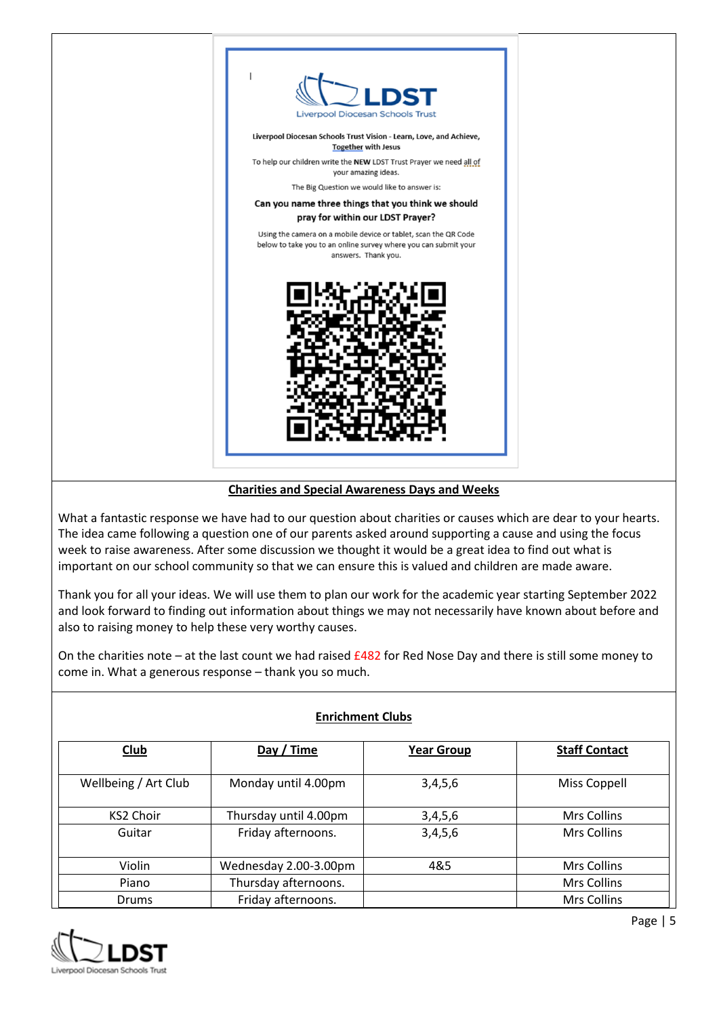

# **Charities and Special Awareness Days and Weeks**

What a fantastic response we have had to our question about charities or causes which are dear to your hearts. The idea came following a question one of our parents asked around supporting a cause and using the focus week to raise awareness. After some discussion we thought it would be a great idea to find out what is important on our school community so that we can ensure this is valued and children are made aware.

Thank you for all your ideas. We will use them to plan our work for the academic year starting September 2022 and look forward to finding out information about things we may not necessarily have known about before and also to raising money to help these very worthy causes.

On the charities note – at the last count we had raised £482 for Red Nose Day and there is still some money to come in. What a generous response – thank you so much.

| <b>Enrichment Clubs</b> |                       |                   |                      |  |  |  |
|-------------------------|-----------------------|-------------------|----------------------|--|--|--|
| Club                    | Day / Time            | <b>Year Group</b> | <b>Staff Contact</b> |  |  |  |
| Wellbeing / Art Club    | Monday until 4.00pm   | 3,4,5,6           | Miss Coppell         |  |  |  |
| <b>KS2 Choir</b>        | Thursday until 4.00pm | 3,4,5,6           | Mrs Collins          |  |  |  |
| Guitar                  | Friday afternoons.    | 3,4,5,6           | Mrs Collins          |  |  |  |
| Violin                  | Wednesday 2.00-3.00pm | 4&5               | Mrs Collins          |  |  |  |
| Piano                   | Thursday afternoons.  |                   | Mrs Collins          |  |  |  |
| Drums                   | Friday afternoons.    |                   | Mrs Collins          |  |  |  |

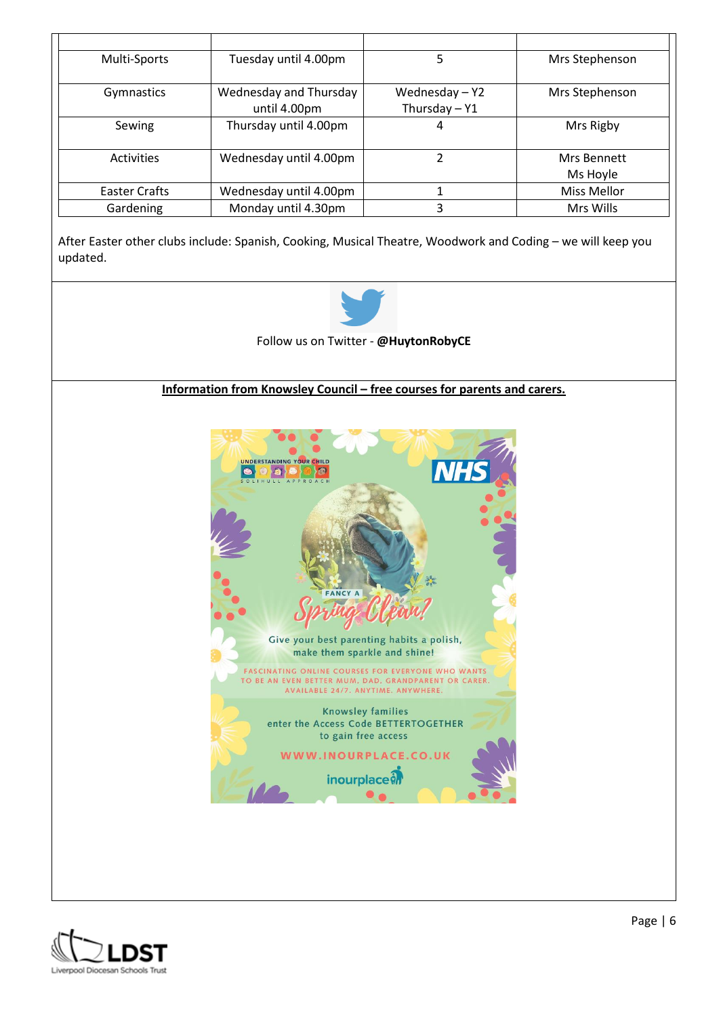| Multi-Sports  | Tuesday until 4.00pm                   | 5                               | Mrs Stephenson          |
|---------------|----------------------------------------|---------------------------------|-------------------------|
| Gymnastics    | Wednesday and Thursday<br>until 4.00pm | Wednesday-Y2<br>Thursday $-$ Y1 | Mrs Stephenson          |
| Sewing        | Thursday until 4.00pm                  | 4                               | Mrs Rigby               |
| Activities    | Wednesday until 4.00pm                 | 2                               | Mrs Bennett<br>Ms Hoyle |
| Easter Crafts | Wednesday until 4.00pm                 |                                 | Miss Mellor             |
| Gardening     | Monday until 4.30pm                    | 3                               | Mrs Wills               |

After Easter other clubs include: Spanish, Cooking, Musical Theatre, Woodwork and Coding – we will keep you updated.



Follow us on Twitter - **@HuytonRobyCE**

**Information from Knowsley Council – free courses for parents and carers.** 



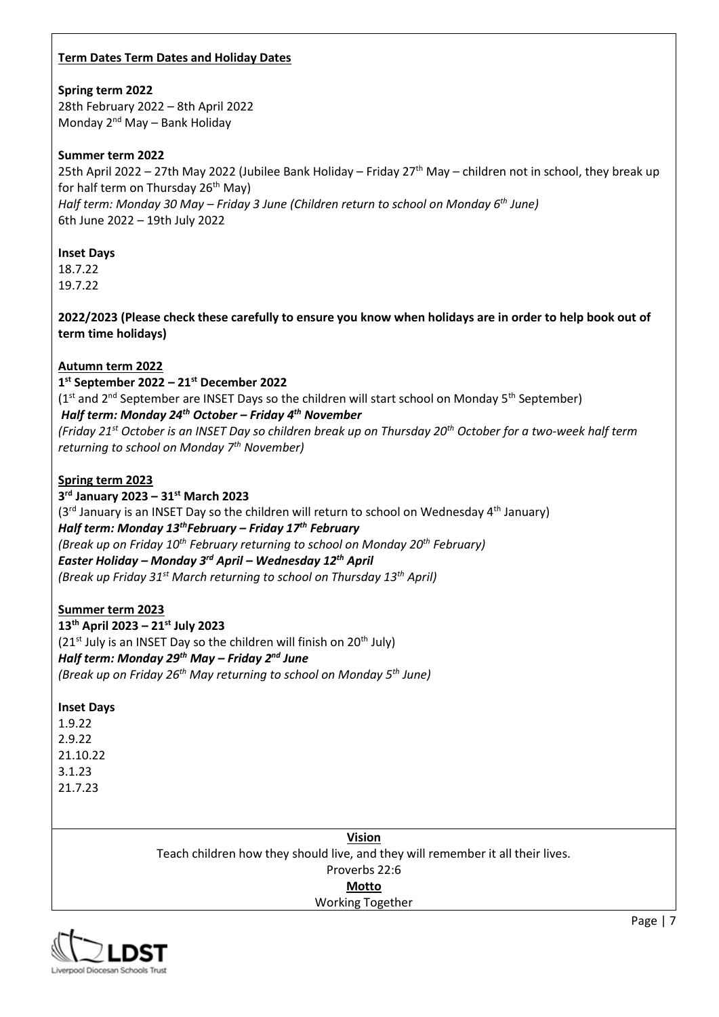### **Term Dates Term Dates and Holiday Dates**

### **Spring term 2022**

28th February 2022 – 8th April 2022 Monday 2nd May – Bank Holiday

### **Summer term 2022**

25th April 2022 – 27th May 2022 (Jubilee Bank Holiday – Friday 27<sup>th</sup> May – children not in school, they break up for half term on Thursday 26<sup>th</sup> May) *Half term: Monday 30 May – Friday 3 June (Children return to school on Monday 6th June)* 6th June 2022 – 19th July 2022

### **Inset Days**

18.7.22 19.7.22

**2022/2023 (Please check these carefully to ensure you know when holidays are in order to help book out of term time holidays)** 

# **Autumn term 2022**

# **1 st September 2022 – 21st December 2022**

 $(1<sup>st</sup>$  and  $2<sup>nd</sup>$  September are INSET Days so the children will start school on Monday 5<sup>th</sup> September) *Half term: Monday 24th October – Friday 4th November* 

*(Friday 21st October is an INSET Day so children break up on Thursday 20th October for a two-week half term returning to school on Monday 7th November)* 

### **Spring term 2023**

**3 rd January 2023 – 31st March 2023**   $(3<sup>rd</sup>$  January is an INSET Day so the children will return to school on Wednesday  $4<sup>th</sup>$  January) *Half term: Monday 13thFebruary – Friday 17th February (Break up on Friday 10th February returning to school on Monday 20th February) Easter Holiday – Monday 3rd April – Wednesday 12th April (Break up Friday 31st March returning to school on Thursday 13th April)* 

# **Summer term 2023**

**13th April 2023 – 21st July 2023**   $(21<sup>st</sup>$  July is an INSET Day so the children will finish on  $20<sup>th</sup>$  July) *Half term: Monday 29th May – Friday 2nd June (Break up on Friday 26th May returning to school on Monday 5th June)*

### **Inset Days**

1.9.22 2.9.22 21.10.22 3.1.23 21.7.23

> **Vision** Teach children how they should live, and they will remember it all their lives. Proverbs 22:6 **Motto**

# Working Together